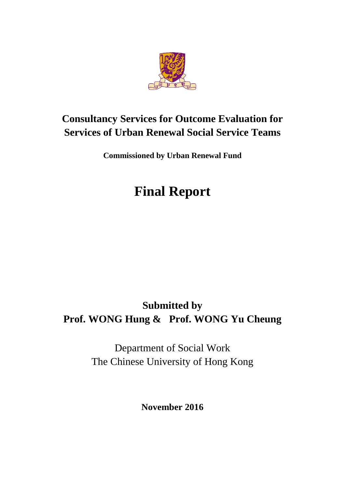

# **Consultancy Services for Outcome Evaluation for Services of Urban Renewal Social Service Teams**

**Commissioned by Urban Renewal Fund**

# **Final Report**

# **Submitted by Prof. WONG Hung & Prof. WONG Yu Cheung**

Department of Social Work The Chinese University of Hong Kong

**November 2016**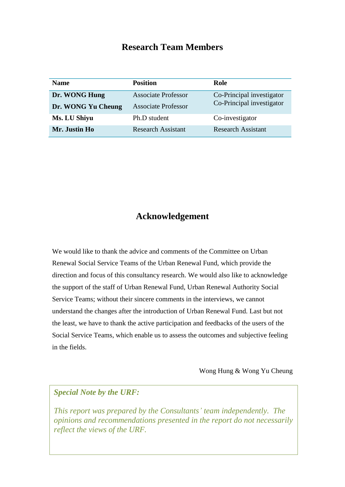### **Research Team Members**

| <b>Name</b>        | <b>Position</b>            | Role                                                   |  |
|--------------------|----------------------------|--------------------------------------------------------|--|
| Dr. WONG Hung      | <b>Associate Professor</b> | Co-Principal investigator<br>Co-Principal investigator |  |
| Dr. WONG Yu Cheung | <b>Associate Professor</b> |                                                        |  |
| Ms. LU Shiyu       | Ph.D student               | Co-investigator                                        |  |
| Mr. Justin Ho      | <b>Research Assistant</b>  | <b>Research Assistant</b>                              |  |

### **Acknowledgement**

We would like to thank the advice and comments of the Committee on Urban Renewal Social Service Teams of the Urban Renewal Fund, which provide the direction and focus of this consultancy research. We would also like to acknowledge the support of the staff of Urban Renewal Fund, Urban Renewal Authority Social Service Teams; without their sincere comments in the interviews, we cannot understand the changes after the introduction of Urban Renewal Fund. Last but not the least, we have to thank the active participation and feedbacks of the users of the Social Service Teams, which enable us to assess the outcomes and subjective feeling in the fields.

Wong Hung & Wong Yu Cheung

#### *Special Note by the URF:*

*This report was prepared by the Consultants' team independently. The opinions and recommendations presented in the report do not necessarily reflect the views of the URF.*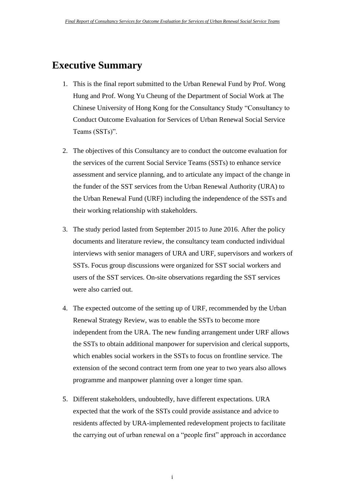### <span id="page-2-0"></span>**Executive Summary**

- 1. This is the final report submitted to the Urban Renewal Fund by Prof. Wong Hung and Prof. Wong Yu Cheung of the Department of Social Work at The Chinese University of Hong Kong for the Consultancy Study "Consultancy to Conduct Outcome Evaluation for Services of Urban Renewal Social Service Teams (SSTs)".
- 2. The objectives of this Consultancy are to conduct the outcome evaluation for the services of the current Social Service Teams (SSTs) to enhance service assessment and service planning, and to articulate any impact of the change in the funder of the SST services from the Urban Renewal Authority (URA) to the Urban Renewal Fund (URF) including the independence of the SSTs and their working relationship with stakeholders.
- 3. The study period lasted from September 2015 to June 2016. After the policy documents and literature review, the consultancy team conducted individual interviews with senior managers of URA and URF, supervisors and workers of SSTs. Focus group discussions were organized for SST social workers and users of the SST services. On-site observations regarding the SST services were also carried out.
- 4. The expected outcome of the setting up of URF, recommended by the Urban Renewal Strategy Review, was to enable the SSTs to become more independent from the URA. The new funding arrangement under URF allows the SSTs to obtain additional manpower for supervision and clerical supports, which enables social workers in the SSTs to focus on frontline service. The extension of the second contract term from one year to two years also allows programme and manpower planning over a longer time span.
- 5. Different stakeholders, undoubtedly, have different expectations. URA expected that the work of the SSTs could provide assistance and advice to residents affected by URA-implemented redevelopment projects to facilitate the carrying out of urban renewal on a "people first" approach in accordance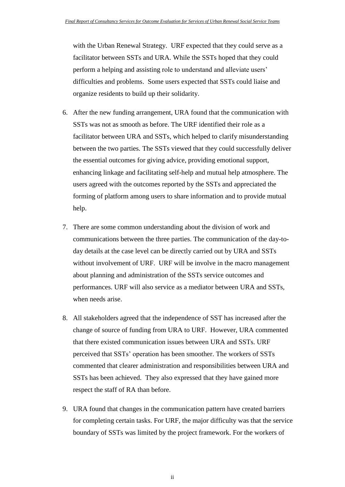with the Urban Renewal Strategy. URF expected that they could serve as a facilitator between SSTs and URA. While the SSTs hoped that they could perform a helping and assisting role to understand and alleviate users' difficulties and problems. Some users expected that SSTs could liaise and organize residents to build up their solidarity.

- 6. After the new funding arrangement, URA found that the communication with SSTs was not as smooth as before. The URF identified their role as a facilitator between URA and SSTs, which helped to clarify misunderstanding between the two parties. The SSTs viewed that they could successfully deliver the essential outcomes for giving advice, providing emotional support, enhancing linkage and facilitating self-help and mutual help atmosphere. The users agreed with the outcomes reported by the SSTs and appreciated the forming of platform among users to share information and to provide mutual help.
- 7. There are some common understanding about the division of work and communications between the three parties. The communication of the day-today details at the case level can be directly carried out by URA and SSTs without involvement of URF. URF will be involve in the macro management about planning and administration of the SSTs service outcomes and performances. URF will also service as a mediator between URA and SSTs, when needs arise.
- 8. All stakeholders agreed that the independence of SST has increased after the change of source of funding from URA to URF. However, URA commented that there existed communication issues between URA and SSTs. URF perceived that SSTs' operation has been smoother. The workers of SSTs commented that clearer administration and responsibilities between URA and SSTs has been achieved. They also expressed that they have gained more respect the staff of RA than before.
- 9. URA found that changes in the communication pattern have created barriers for completing certain tasks. For URF, the major difficulty was that the service boundary of SSTs was limited by the project framework. For the workers of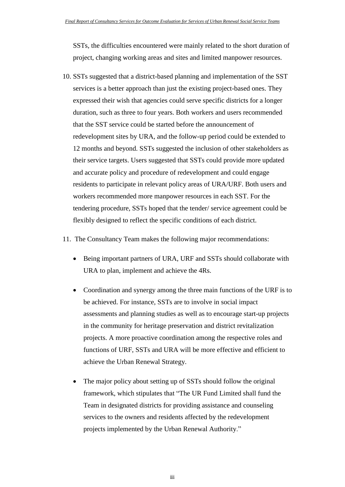SSTs, the difficulties encountered were mainly related to the short duration of project, changing working areas and sites and limited manpower resources.

- 10. SSTs suggested that a district-based planning and implementation of the SST services is a better approach than just the existing project-based ones. They expressed their wish that agencies could serve specific districts for a longer duration, such as three to four years. Both workers and users recommended that the SST service could be started before the announcement of redevelopment sites by URA, and the follow-up period could be extended to 12 months and beyond. SSTs suggested the inclusion of other stakeholders as their service targets. Users suggested that SSTs could provide more updated and accurate policy and procedure of redevelopment and could engage residents to participate in relevant policy areas of URA/URF. Both users and workers recommended more manpower resources in each SST. For the tendering procedure, SSTs hoped that the tender/ service agreement could be flexibly designed to reflect the specific conditions of each district.
- 11. The Consultancy Team makes the following major recommendations:
	- Being important partners of URA, URF and SSTs should collaborate with URA to plan, implement and achieve the 4Rs.
	- Coordination and synergy among the three main functions of the URF is to be achieved. For instance, SSTs are to involve in social impact assessments and planning studies as well as to encourage start-up projects in the community for heritage preservation and district revitalization projects. A more proactive coordination among the respective roles and functions of URF, SSTs and URA will be more effective and efficient to achieve the Urban Renewal Strategy.
	- The major policy about setting up of SSTs should follow the original framework, which stipulates that "The UR Fund Limited shall fund the Team in designated districts for providing assistance and counseling services to the owners and residents affected by the redevelopment projects implemented by the Urban Renewal Authority."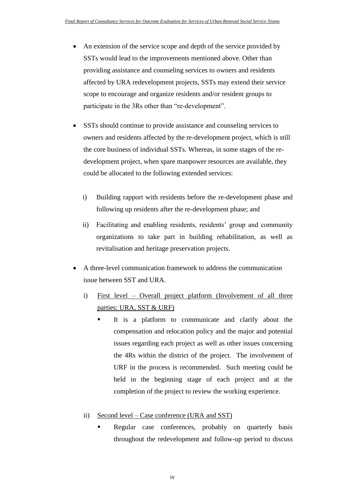- An extension of the service scope and depth of the service provided by SSTs would lead to the improvements mentioned above. Other than providing assistance and counseling services to owners and residents affected by URA redevelopment projects, SSTs may extend their service scope to encourage and organize residents and/or resident groups to participate in the 3Rs other than "re-development".
- SSTs should continue to provide assistance and counseling services to owners and residents affected by the re-development project, which is still the core business of individual SSTs. Whereas, in some stages of the redevelopment project, when spare manpower resources are available, they could be allocated to the following extended services:
	- i) Building rapport with residents before the re-development phase and following up residents after the re-development phase; and
	- ii) Facilitating and enabling residents, residents' group and community organizations to take part in building rehabilitation, as well as revitalisation and heritage preservation projects.
- A three-level communication framework to address the communication issue between SST and URA.
	- i) First level Overall project platform (Involvement of all three parties: URA, SST & URF)
		- It is a platform to communicate and clarify about the compensation and relocation policy and the major and potential issues regarding each project as well as other issues concerning the 4Rs within the district of the project. The involvement of URF in the process is recommended. Such meeting could be held in the beginning stage of each project and at the completion of the project to review the working experience.
	- ii) Second level Case conference (URA and SST)
		- Regular case conferences, probably on quarterly basis throughout the redevelopment and follow-up period to discuss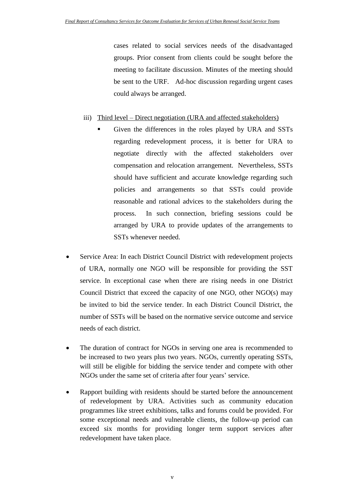cases related to social services needs of the disadvantaged groups. Prior consent from clients could be sought before the meeting to facilitate discussion. Minutes of the meeting should be sent to the URF. Ad-hoc discussion regarding urgent cases could always be arranged.

#### iii) Third level – Direct negotiation (URA and affected stakeholders)

- Given the differences in the roles played by URA and SSTs regarding redevelopment process, it is better for URA to negotiate directly with the affected stakeholders over compensation and relocation arrangement. Nevertheless, SSTs should have sufficient and accurate knowledge regarding such policies and arrangements so that SSTs could provide reasonable and rational advices to the stakeholders during the process. In such connection, briefing sessions could be arranged by URA to provide updates of the arrangements to SSTs whenever needed.
- Service Area: In each District Council District with redevelopment projects of URA, normally one NGO will be responsible for providing the SST service. In exceptional case when there are rising needs in one District Council District that exceed the capacity of one NGO, other NGO(s) may be invited to bid the service tender. In each District Council District, the number of SSTs will be based on the normative service outcome and service needs of each district.
- The duration of contract for NGOs in serving one area is recommended to be increased to two years plus two years. NGOs, currently operating SSTs, will still be eligible for bidding the service tender and compete with other NGOs under the same set of criteria after four years' service.
- Rapport building with residents should be started before the announcement of redevelopment by URA. Activities such as community education programmes like street exhibitions, talks and forums could be provided. For some exceptional needs and vulnerable clients, the follow-up period can exceed six months for providing longer term support services after redevelopment have taken place.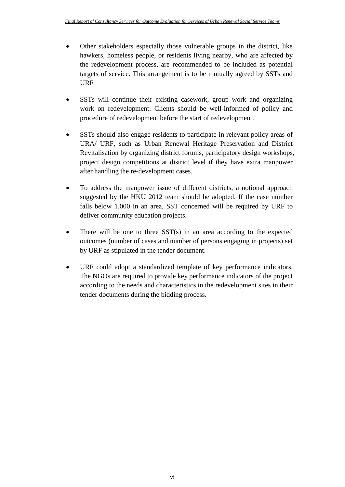- Other stakeholders especially those vulnerable groups in the district, like hawkers, homeless people, or residents living nearby, who are affected by the redevelopment process, are recommended to be included as potential targets of service. This arrangement is to be mutually agreed by SSTs and URF
- SSTs will continue their existing casework, group work and organizing work on redevelopment. Clients should be well-informed of policy and procedure of redevelopment before the start of redevelopment.
- SSTs should also engage residents to participate in relevant policy areas of URA/ URF, such as Urban Renewal Heritage Preservation and District Revitalisation by organizing district forums, participatory design workshops, project design competitions at district level if they have extra manpower after handling the re-development cases.
- To address the manpower issue of different districts, a notional approach suggested by the HKU 2012 team should be adopted. If the case number falls below 1,000 in an area, SST concerned will be required by URF to deliver community education projects.
- There will be one to three SST(s) in an area according to the expected outcomes (number of cases and number of persons engaging in projects) set by URF as stipulated in the tender document.
- URF could adopt a standardized template of key performance indicators. The NGOs are required to provide key performance indicators of the project according to the needs and characteristics in the redevelopment sites in their tender documents during the bidding process.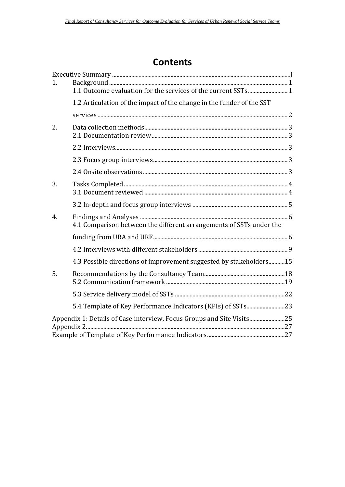### **Contents**

| 1. |                                                                       |  |
|----|-----------------------------------------------------------------------|--|
|    | 1.1 Outcome evaluation for the services of the current SSTs 1         |  |
|    | 1.2 Articulation of the impact of the change in the funder of the SST |  |
|    |                                                                       |  |
| 2. |                                                                       |  |
|    |                                                                       |  |
|    |                                                                       |  |
|    |                                                                       |  |
| 3. |                                                                       |  |
|    |                                                                       |  |
|    |                                                                       |  |
| 4. | 4.1 Comparison between the different arrangements of SSTs under the   |  |
|    |                                                                       |  |
|    |                                                                       |  |
|    | 4.3 Possible directions of improvement suggested by stakeholders 15   |  |
| 5. |                                                                       |  |
|    |                                                                       |  |
|    |                                                                       |  |
|    | Appendix 1: Details of Case interview, Focus Groups and Site Visits25 |  |
|    |                                                                       |  |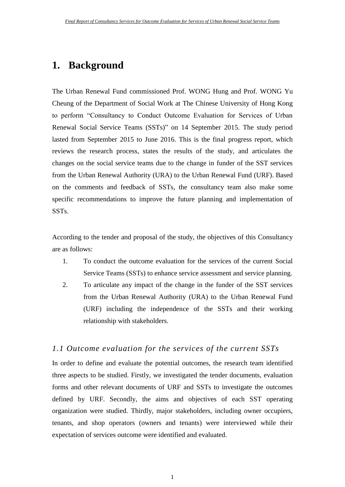### <span id="page-9-0"></span>**1. Background**

The Urban Renewal Fund commissioned Prof. WONG Hung and Prof. WONG Yu Cheung of the Department of Social Work at The Chinese University of Hong Kong to perform "Consultancy to Conduct Outcome Evaluation for Services of Urban Renewal Social Service Teams (SSTs)" on 14 September 2015. The study period lasted from September 2015 to June 2016. This is the final progress report, which reviews the research process, states the results of the study, and articulates the changes on the social service teams due to the change in funder of the SST services from the Urban Renewal Authority (URA) to the Urban Renewal Fund (URF). Based on the comments and feedback of SSTs, the consultancy team also make some specific recommendations to improve the future planning and implementation of SSTs.

According to the tender and proposal of the study, the objectives of this Consultancy are as follows:

- 1. To conduct the outcome evaluation for the services of the current Social Service Teams (SSTs) to enhance service assessment and service planning.
- 2. To articulate any impact of the change in the funder of the SST services from the Urban Renewal Authority (URA) to the Urban Renewal Fund (URF) including the independence of the SSTs and their working relationship with stakeholders.

#### <span id="page-9-1"></span>*1.1 Outcome evaluation for the services of the current SSTs*

In order to define and evaluate the potential outcomes, the research team identified three aspects to be studied. Firstly, we investigated the tender documents, evaluation forms and other relevant documents of URF and SSTs to investigate the outcomes defined by URF. Secondly, the aims and objectives of each SST operating organization were studied. Thirdly, major stakeholders, including owner occupiers, tenants, and shop operators (owners and tenants) were interviewed while their expectation of services outcome were identified and evaluated.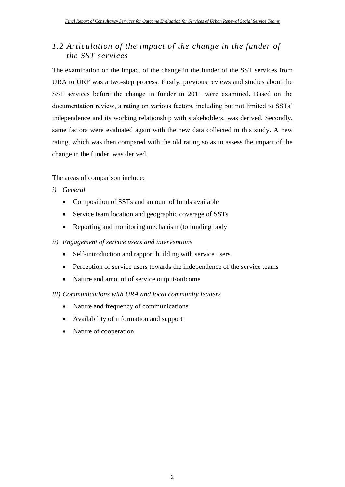### <span id="page-10-0"></span>*1.2 Articulation of the impact of the change in the funder of the SST services*

The examination on the impact of the change in the funder of the SST services from URA to URF was a two-step process. Firstly, previous reviews and studies about the SST services before the change in funder in 2011 were examined. Based on the documentation review, a rating on various factors, including but not limited to SSTs' independence and its working relationship with stakeholders, was derived. Secondly, same factors were evaluated again with the new data collected in this study. A new rating, which was then compared with the old rating so as to assess the impact of the change in the funder, was derived.

The areas of comparison include:

- *i) General*
	- Composition of SSTs and amount of funds available
	- Service team location and geographic coverage of SSTs
	- Reporting and monitoring mechanism (to funding body
- *ii) Engagement of service users and interventions*
	- Self-introduction and rapport building with service users
	- Perception of service users towards the independence of the service teams
	- Nature and amount of service output/outcome
- *iii) Communications with URA and local community leaders*
	- Nature and frequency of communications
	- Availability of information and support
	- Nature of cooperation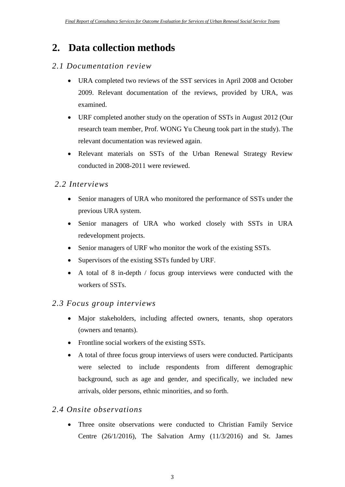### <span id="page-11-0"></span>**2. Data collection methods**

#### <span id="page-11-1"></span>*2.1 Documentation review*

- URA completed two reviews of the SST services in April 2008 and October 2009. Relevant documentation of the reviews, provided by URA, was examined.
- URF completed another study on the operation of SSTs in August 2012 (Our research team member, Prof. WONG Yu Cheung took part in the study). The relevant documentation was reviewed again.
- Relevant materials on SSTs of the Urban Renewal Strategy Review conducted in 2008-2011 were reviewed.

#### <span id="page-11-2"></span>*2.2 Interviews*

- Senior managers of URA who monitored the performance of SSTs under the previous URA system.
- Senior managers of URA who worked closely with SSTs in URA redevelopment projects.
- Senior managers of URF who monitor the work of the existing SSTs.
- Supervisors of the existing SSTs funded by URF.
- A total of 8 in-depth / focus group interviews were conducted with the workers of SSTs.

#### <span id="page-11-3"></span>*2.3 Focus group interviews*

- Major stakeholders, including affected owners, tenants, shop operators (owners and tenants).
- Frontline social workers of the existing SSTs.
- A total of three focus group interviews of users were conducted. Participants were selected to include respondents from different demographic background, such as age and gender, and specifically, we included new arrivals, older persons, ethnic minorities, and so forth.

#### <span id="page-11-4"></span>*2.4 Onsite observations*

 Three onsite observations were conducted to Christian Family Service Centre (26/1/2016), The Salvation Army (11/3/2016) and St. James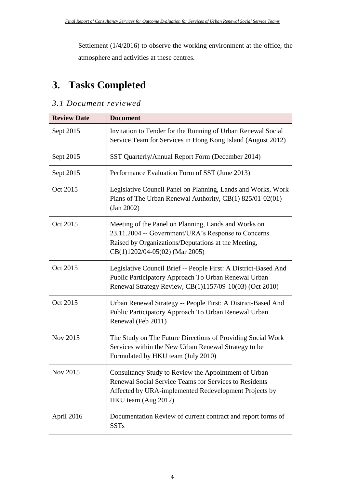Settlement (1/4/2016) to observe the working environment at the office, the atmosphere and activities at these centres.

# <span id="page-12-0"></span>**3. Tasks Completed**

### <span id="page-12-1"></span>*3.1 Document reviewed*

| <b>Review Date</b> | <b>Document</b>                                                                                                                                                                                      |
|--------------------|------------------------------------------------------------------------------------------------------------------------------------------------------------------------------------------------------|
| Sept 2015          | Invitation to Tender for the Running of Urban Renewal Social<br>Service Team for Services in Hong Kong Island (August 2012)                                                                          |
| Sept 2015          | SST Quarterly/Annual Report Form (December 2014)                                                                                                                                                     |
| Sept 2015          | Performance Evaluation Form of SST (June 2013)                                                                                                                                                       |
| Oct 2015           | Legislative Council Panel on Planning, Lands and Works, Work<br>Plans of The Urban Renewal Authority, CB(1) 825/01-02(01)<br>(Jan 2002)                                                              |
| Oct 2015           | Meeting of the Panel on Planning, Lands and Works on<br>23.11.2004 -- Government/URA's Response to Concerns<br>Raised by Organizations/Deputations at the Meeting,<br>CB(1)1202/04-05(02) (Mar 2005) |
| Oct 2015           | Legislative Council Brief -- People First: A District-Based And<br>Public Participatory Approach To Urban Renewal Urban<br>Renewal Strategy Review, CB(1)1157/09-10(03) (Oct 2010)                   |
| Oct 2015           | Urban Renewal Strategy -- People First: A District-Based And<br>Public Participatory Approach To Urban Renewal Urban<br>Renewal (Feb 2011)                                                           |
| Nov 2015           | The Study on The Future Directions of Providing Social Work<br>Services within the New Urban Renewal Strategy to be<br>Formulated by HKU team (July 2010)                                            |
| Nov 2015           | Consultancy Study to Review the Appointment of Urban<br>Renewal Social Service Teams for Services to Residents<br>Affected by URA-implemented Redevelopment Projects by<br>HKU team (Aug 2012)       |
| April 2016         | Documentation Review of current contract and report forms of<br><b>SSTs</b>                                                                                                                          |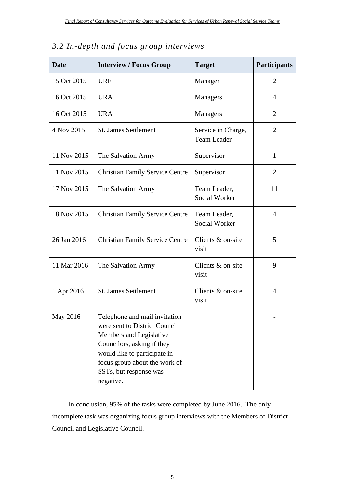| <b>Date</b> | <b>Interview / Focus Group</b>                                                                                                                                                                                                  | <b>Target</b>                            | <b>Participants</b> |
|-------------|---------------------------------------------------------------------------------------------------------------------------------------------------------------------------------------------------------------------------------|------------------------------------------|---------------------|
| 15 Oct 2015 | <b>URF</b>                                                                                                                                                                                                                      | Manager                                  | $\overline{2}$      |
| 16 Oct 2015 | <b>URA</b>                                                                                                                                                                                                                      | Managers                                 | $\overline{4}$      |
| 16 Oct 2015 | <b>URA</b>                                                                                                                                                                                                                      | Managers                                 | $\overline{2}$      |
| 4 Nov 2015  | <b>St. James Settlement</b>                                                                                                                                                                                                     | Service in Charge,<br><b>Team Leader</b> | $\overline{2}$      |
| 11 Nov 2015 | The Salvation Army                                                                                                                                                                                                              | Supervisor                               | $\mathbf{1}$        |
| 11 Nov 2015 | <b>Christian Family Service Centre</b>                                                                                                                                                                                          | Supervisor                               | $\overline{2}$      |
| 17 Nov 2015 | The Salvation Army                                                                                                                                                                                                              | Team Leader,<br><b>Social Worker</b>     | 11                  |
| 18 Nov 2015 | <b>Christian Family Service Centre</b>                                                                                                                                                                                          | Team Leader,<br><b>Social Worker</b>     | $\overline{4}$      |
| 26 Jan 2016 | <b>Christian Family Service Centre</b>                                                                                                                                                                                          | Clients & on-site<br>visit               | 5                   |
| 11 Mar 2016 | The Salvation Army                                                                                                                                                                                                              | Clients & on-site<br>visit               | 9                   |
| 1 Apr 2016  | <b>St. James Settlement</b>                                                                                                                                                                                                     | Clients & on-site<br>visit               | $\overline{4}$      |
| May 2016    | Telephone and mail invitation<br>were sent to District Council<br>Members and Legislative<br>Councilors, asking if they<br>would like to participate in<br>focus group about the work of<br>SSTs, but response was<br>negative. |                                          |                     |

#### <span id="page-13-0"></span>*3.2 In-depth and focus group interviews*

In conclusion, 95% of the tasks were completed by June 2016. The only incomplete task was organizing focus group interviews with the Members of District Council and Legislative Council.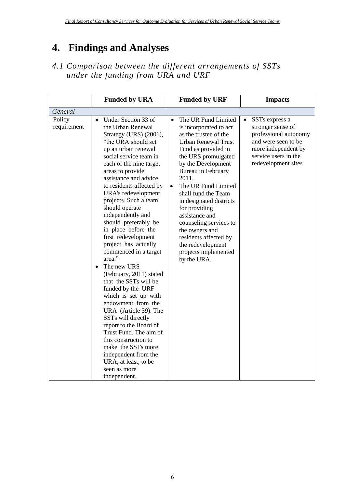## <span id="page-14-0"></span>**4. Findings and Analyses**

<span id="page-14-1"></span>*4.1 Comparison between the different arrangements of SSTs under the funding from URA and URF*

|                       | <b>Funded by URA</b>                                                                                                                                                                                                                                                                                                                                                                                                                                                                                                                                                                                                                                                                                                                                                                                                                                                    | <b>Funded by URF</b>                                                                                                                                                                                                                                                                                                                                                                                                                                                           | <b>Impacts</b>                                                                                                                                                         |
|-----------------------|-------------------------------------------------------------------------------------------------------------------------------------------------------------------------------------------------------------------------------------------------------------------------------------------------------------------------------------------------------------------------------------------------------------------------------------------------------------------------------------------------------------------------------------------------------------------------------------------------------------------------------------------------------------------------------------------------------------------------------------------------------------------------------------------------------------------------------------------------------------------------|--------------------------------------------------------------------------------------------------------------------------------------------------------------------------------------------------------------------------------------------------------------------------------------------------------------------------------------------------------------------------------------------------------------------------------------------------------------------------------|------------------------------------------------------------------------------------------------------------------------------------------------------------------------|
| General               |                                                                                                                                                                                                                                                                                                                                                                                                                                                                                                                                                                                                                                                                                                                                                                                                                                                                         |                                                                                                                                                                                                                                                                                                                                                                                                                                                                                |                                                                                                                                                                        |
| Policy<br>requirement | Under Section 33 of<br>$\bullet$<br>the Urban Renewal<br>Strategy (URS) (2001),<br>"the URA should set<br>up an urban renewal<br>social service team in<br>each of the nine target<br>areas to provide<br>assistance and advice<br>to residents affected by<br>URA's redevelopment<br>projects. Such a team<br>should operate<br>independently and<br>should preferably be<br>in place before the<br>first redevelopment<br>project has actually<br>commenced in a target<br>area."<br>The new URS<br>$\bullet$<br>(February, 2011) stated<br>that the SSTs will be<br>funded by the URF<br>which is set up with<br>endowment from the<br>URA (Article 39). The<br>SSTs will directly<br>report to the Board of<br>Trust Fund. The aim of<br>this construction to<br>make the SSTs more<br>independent from the<br>URA, at least, to be<br>seen as more<br>independent. | The UR Fund Limited<br>$\bullet$<br>is incorporated to act<br>as the trustee of the<br><b>Urban Renewal Trust</b><br>Fund as provided in<br>the URS promulgated<br>by the Development<br>Bureau in February<br>2011.<br>The UR Fund Limited<br>$\bullet$<br>shall fund the Team<br>in designated districts<br>for providing<br>assistance and<br>counseling services to<br>the owners and<br>residents affected by<br>the redevelopment<br>projects implemented<br>by the URA. | SSTs express a<br>$\bullet$<br>stronger sense of<br>professional autonomy<br>and were seen to be<br>more independent by<br>service users in the<br>redevelopment sites |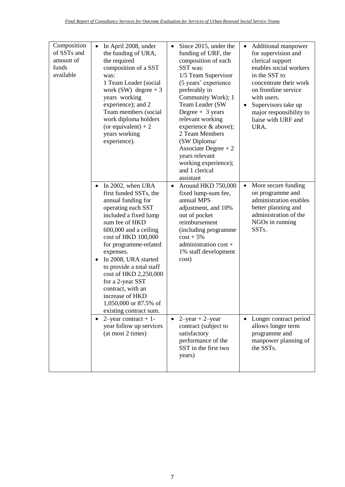| Composition<br>of SSTs and<br>amount of<br>funds<br>available | In April 2008, under<br>$\bullet$<br>the funding of URA,<br>the required<br>composition of a SST<br>was:<br>1 Team Leader (social<br>work (SW) degree $+3$<br>years working<br>experience); and 2<br>Team members (social<br>work diploma holders<br>(or equivalent) $+2$<br>years working<br>experience).                                                                                                                                     | Since 2015, under the<br>$\bullet$<br>funding of URF, the<br>composition of each<br>SST was:<br>1/5 Team Supervisor<br>(5 years' experience<br>preferably in<br>Community Work); 1<br>Team Leader (SW<br>Degree $+3$ years<br>relevant working<br>experience & above);<br>2 Team Members<br>(SW Diploma/<br>Associate Degree $+2$<br>years relevant<br>working experience);<br>and 1 clerical<br>assistant | Additional manpower<br>$\bullet$<br>for supervision and<br>clerical support<br>enables social workers<br>in the SST to<br>concentrate their work<br>on frontline service<br>with users.<br>Supervisors take up<br>major responsibility to<br>liaise with URF and<br>URA. |
|---------------------------------------------------------------|------------------------------------------------------------------------------------------------------------------------------------------------------------------------------------------------------------------------------------------------------------------------------------------------------------------------------------------------------------------------------------------------------------------------------------------------|------------------------------------------------------------------------------------------------------------------------------------------------------------------------------------------------------------------------------------------------------------------------------------------------------------------------------------------------------------------------------------------------------------|--------------------------------------------------------------------------------------------------------------------------------------------------------------------------------------------------------------------------------------------------------------------------|
|                                                               | In 2002, when URA<br>$\bullet$<br>first funded SSTs, the<br>annual funding for<br>operating each SST<br>included a fixed lump<br>sum fee of HKD<br>600,000 and a ceiling<br>cost of HKD 100,000<br>for programme-related<br>expenses.<br>In 2008, URA started<br>$\bullet$<br>to provide a total staff<br>cost of HKD 2,250,000<br>for a 2-year SST<br>contract, with an<br>increase of HKD<br>1,050,000 or 87.5% of<br>existing contract sum. | Around HKD 750,000<br>$\bullet$<br>fixed lump-sum fee,<br>annual MPS<br>adjustment, and 10%<br>out of pocket<br>reimbursement<br>(including programme<br>$cost + 5%$<br>administration cost +<br>1% staff development<br>cost)                                                                                                                                                                             | More secure funding<br>$\bullet$<br>on programme and<br>administration enables<br>better planning and<br>administration of the<br>NGOs in running<br>SST <sub>s</sub> .                                                                                                  |
|                                                               | • 2-year contract + 1-<br>year follow up services<br>(at most 2 times)                                                                                                                                                                                                                                                                                                                                                                         | • $2$ -year + 2-year<br>contract (subject to<br>satisfactory<br>performance of the<br>SST in the first two<br>years)                                                                                                                                                                                                                                                                                       | Longer contract period<br>allows longer term<br>programme and<br>manpower planning of<br>the SSTs.                                                                                                                                                                       |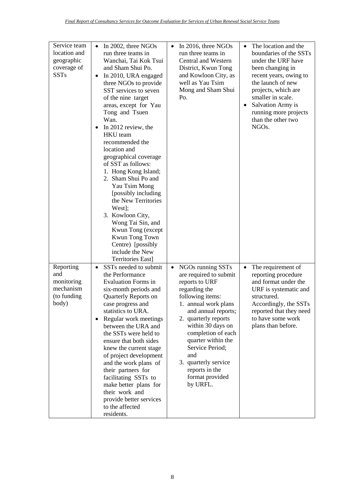| Service team<br>location and<br>geographic<br>coverage of<br><b>SSTs</b> | In 2002, three NGOs<br>$\bullet$<br>run three teams in<br>Wanchai, Tai Kok Tsui<br>and Sham Shui Po.<br>In 2010, URA engaged<br>$\bullet$<br>three NGOs to provide<br>SST services to seven<br>of the nine target<br>areas, except for Yau<br>Tong and Tsuen<br>Wan.<br>In 2012 review, the<br>٠<br><b>HKU</b> team<br>recommended the<br>location and<br>geographical coverage<br>of SST as follows:<br>1. Hong Kong Island;<br>2. Sham Shui Po and<br>Yau Tsim Mong<br>[possibly including]<br>the New Territories<br>West];<br>3. Kowloon City,<br>Wong Tai Sin, and<br>Kwun Tong (except<br>Kwun Tong Town<br>Centre) [possibly<br>include the New | In 2016, three NGOs<br>$\bullet$<br>run three teams in<br><b>Central and Western</b><br>District, Kwun Tong<br>and Kowloon City, as<br>well as Yau Tsim<br>Mong and Sham Shui<br>Po.                                                                                                                                                                       | The location and the<br>$\bullet$<br>boundaries of the SSTs<br>under the URF have<br>been changing in<br>recent years, owing to<br>the launch of new<br>projects, which are<br>smaller in scale.<br>Salvation Army is<br>$\bullet$<br>running more projects<br>than the other two<br>NGO <sub>s.</sub> |
|--------------------------------------------------------------------------|--------------------------------------------------------------------------------------------------------------------------------------------------------------------------------------------------------------------------------------------------------------------------------------------------------------------------------------------------------------------------------------------------------------------------------------------------------------------------------------------------------------------------------------------------------------------------------------------------------------------------------------------------------|------------------------------------------------------------------------------------------------------------------------------------------------------------------------------------------------------------------------------------------------------------------------------------------------------------------------------------------------------------|--------------------------------------------------------------------------------------------------------------------------------------------------------------------------------------------------------------------------------------------------------------------------------------------------------|
| Reporting<br>and<br>monitoring<br>mechanism<br>(to funding<br>body)      | <b>Territories East]</b><br>SSTs needed to submit<br>$\bullet$<br>the Performance<br><b>Evaluation Forms in</b><br>six-month periods and<br>Quarterly Reports on<br>case progress and<br>statistics to URA.<br>Regular work meetings<br>٠<br>between the URA and<br>the SSTs were held to<br>ensure that both sides<br>knew the current stage<br>of project development<br>and the work plans of<br>their partners for<br>facilitating SSTs to<br>make better plans for<br>their work and<br>provide better services<br>to the affected<br>residents.                                                                                                  | NGOs running SSTs<br>$\bullet$<br>are required to submit<br>reports to URF<br>regarding the<br>following items:<br>1. annual work plans<br>and annual reports;<br>2. quarterly reports<br>within 30 days on<br>completion of each<br>quarter within the<br>Service Period;<br>and<br>3. quarterly service<br>reports in the<br>format provided<br>by URFL. | The requirement of<br>$\bullet$<br>reporting procedure<br>and format under the<br>URF is systematic and<br>structured.<br>Accordingly, the SSTs<br>reported that they need<br>to have some work<br>plans than before.                                                                                  |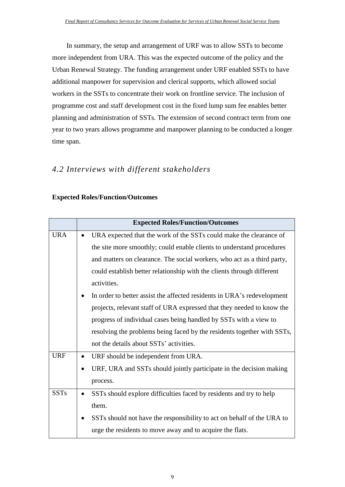In summary, the setup and arrangement of URF was to allow SSTs to become more independent from URA. This was the expected outcome of the policy and the Urban Renewal Strategy. The funding arrangement under URF enabled SSTs to have additional manpower for supervision and clerical supports, which allowed social workers in the SSTs to concentrate their work on frontline service. The inclusion of programme cost and staff development cost in the fixed lump sum fee enables better planning and administration of SSTs. The extension of second contract term from one year to two years allows programme and manpower planning to be conducted a longer time span.

#### <span id="page-17-0"></span>*4.2 Interviews with different stakeholders*

#### **Expected Roles/Function/Outcomes**

|             |           | <b>Expected Roles/Function/Outcomes</b>                                 |
|-------------|-----------|-------------------------------------------------------------------------|
| <b>URA</b>  |           | URA expected that the work of the SSTs could make the clearance of      |
|             |           | the site more smoothly; could enable clients to understand procedures   |
|             |           | and matters on clearance. The social workers, who act as a third party, |
|             |           | could establish better relationship with the clients through different  |
|             |           | activities.                                                             |
|             | ٠         | In order to better assist the affected residents in URA's redevelopment |
|             |           | projects, relevant staff of URA expressed that they needed to know the  |
|             |           | progress of individual cases being handled by SSTs with a view to       |
|             |           | resolving the problems being faced by the residents together with SSTs, |
|             |           | not the details about SSTs' activities.                                 |
| <b>URF</b>  | ٠         | URF should be independent from URA.                                     |
|             | $\bullet$ | URF, URA and SSTs should jointly participate in the decision making     |
|             |           | process.                                                                |
| <b>SSTs</b> | $\bullet$ | SSTs should explore difficulties faced by residents and try to help     |
|             |           | them.                                                                   |
|             | ٠         | SSTs should not have the responsibility to act on behalf of the URA to  |
|             |           | urge the residents to move away and to acquire the flats.               |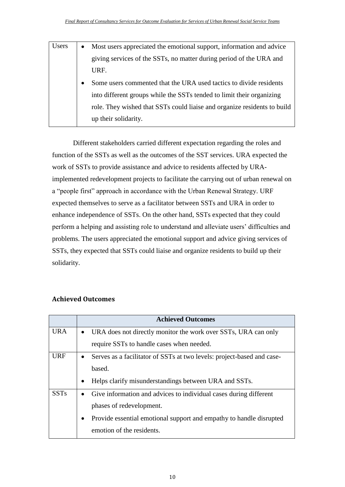| <b>Users</b> | $\bullet$ | Most users appreciated the emotional support, information and advice     |
|--------------|-----------|--------------------------------------------------------------------------|
|              |           | giving services of the SSTs, no matter during period of the URA and      |
|              |           | URF.                                                                     |
|              |           | Some users commented that the URA used tactics to divide residents       |
|              |           | into different groups while the SSTs tended to limit their organizing    |
|              |           | role. They wished that SSTs could liaise and organize residents to build |
|              |           | up their solidarity.                                                     |

Different stakeholders carried different expectation regarding the roles and function of the SSTs as well as the outcomes of the SST services. URA expected the work of SSTs to provide assistance and advice to residents affected by URAimplemented redevelopment projects to facilitate the carrying out of urban renewal on a "people first" approach in accordance with the Urban Renewal Strategy. URF expected themselves to serve as a facilitator between SSTs and URA in order to enhance independence of SSTs. On the other hand, SSTs expected that they could perform a helping and assisting role to understand and alleviate users' difficulties and problems. The users appreciated the emotional support and advice giving services of SSTs, they expected that SSTs could liaise and organize residents to build up their solidarity.

|             |           | <b>Achieved Outcomes</b>                                               |
|-------------|-----------|------------------------------------------------------------------------|
| <b>URA</b>  | $\bullet$ | URA does not directly monitor the work over SSTs, URA can only         |
|             |           | require SSTs to handle cases when needed.                              |
| <b>URF</b>  | $\bullet$ | Serves as a facilitator of SSTs at two levels: project-based and case- |
|             |           | based.                                                                 |
|             | $\bullet$ | Helps clarify misunderstandings between URA and SSTs.                  |
| <b>SSTs</b> | $\bullet$ | Give information and advices to individual cases during different      |
|             |           | phases of redevelopment.                                               |
|             | $\bullet$ | Provide essential emotional support and empathy to handle disrupted    |
|             |           | emotion of the residents.                                              |

#### **Achieved Outcomes**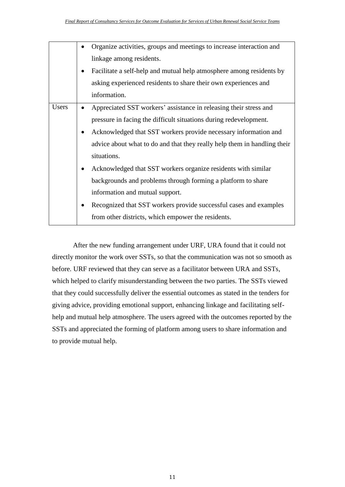|       |           | Organize activities, groups and meetings to increase interaction and     |
|-------|-----------|--------------------------------------------------------------------------|
|       |           | linkage among residents.                                                 |
|       | ٠         | Facilitate a self-help and mutual help atmosphere among residents by     |
|       |           | asking experienced residents to share their own experiences and          |
|       |           | information.                                                             |
| Users |           | Appreciated SST workers' assistance in releasing their stress and        |
|       |           | pressure in facing the difficult situations during redevelopment.        |
|       | $\bullet$ | Acknowledged that SST workers provide necessary information and          |
|       |           | advice about what to do and that they really help them in handling their |
|       |           | situations.                                                              |
|       | $\bullet$ | Acknowledged that SST workers organize residents with similar            |
|       |           | backgrounds and problems through forming a platform to share             |
|       |           | information and mutual support.                                          |
|       | ٠         | Recognized that SST workers provide successful cases and examples        |
|       |           | from other districts, which empower the residents.                       |

After the new funding arrangement under URF, URA found that it could not directly monitor the work over SSTs, so that the communication was not so smooth as before. URF reviewed that they can serve as a facilitator between URA and SSTs, which helped to clarify misunderstanding between the two parties. The SSTs viewed that they could successfully deliver the essential outcomes as stated in the tenders for giving advice, providing emotional support, enhancing linkage and facilitating selfhelp and mutual help atmosphere. The users agreed with the outcomes reported by the SSTs and appreciated the forming of platform among users to share information and to provide mutual help.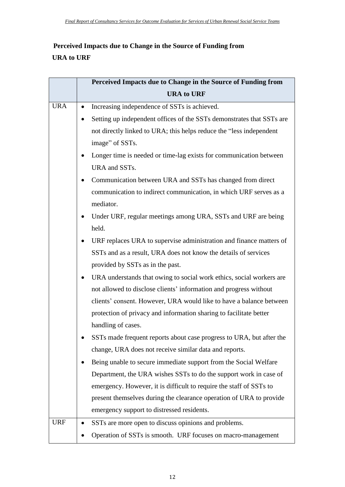### **Perceived Impacts due to Change in the Source of Funding from URA to URF**

|            | Perceived Impacts due to Change in the Source of Funding from |                                                                       |
|------------|---------------------------------------------------------------|-----------------------------------------------------------------------|
|            |                                                               | <b>URA to URF</b>                                                     |
| <b>URA</b> |                                                               | Increasing independence of SSTs is achieved.                          |
|            | ٠                                                             | Setting up independent offices of the SSTs demonstrates that SSTs are |
|            |                                                               | not directly linked to URA; this helps reduce the "less independent   |
|            |                                                               | image" of SSTs.                                                       |
|            | ٠                                                             | Longer time is needed or time-lag exists for communication between    |
|            |                                                               | URA and SSTs.                                                         |
|            | ٠                                                             | Communication between URA and SSTs has changed from direct            |
|            |                                                               | communication to indirect communication, in which URF serves as a     |
|            |                                                               | mediator.                                                             |
|            | ٠                                                             | Under URF, regular meetings among URA, SSTs and URF are being         |
|            |                                                               | held.                                                                 |
|            | $\bullet$                                                     | URF replaces URA to supervise administration and finance matters of   |
|            |                                                               | SSTs and as a result, URA does not know the details of services       |
|            |                                                               | provided by SSTs as in the past.                                      |
|            | $\bullet$                                                     | URA understands that owing to social work ethics, social workers are  |
|            |                                                               | not allowed to disclose clients' information and progress without     |
|            |                                                               | clients' consent. However, URA would like to have a balance between   |
|            |                                                               | protection of privacy and information sharing to facilitate better    |
|            |                                                               | handling of cases.                                                    |
|            |                                                               | SSTs made frequent reports about case progress to URA, but after the  |
|            |                                                               | change, URA does not receive similar data and reports.                |
|            | ٠                                                             | Being unable to secure immediate support from the Social Welfare      |
|            |                                                               | Department, the URA wishes SSTs to do the support work in case of     |
|            |                                                               | emergency. However, it is difficult to require the staff of SSTs to   |
|            |                                                               | present themselves during the clearance operation of URA to provide   |
|            |                                                               | emergency support to distressed residents.                            |
| <b>URF</b> |                                                               | SSTs are more open to discuss opinions and problems.                  |
|            |                                                               | Operation of SSTs is smooth. URF focuses on macro-management          |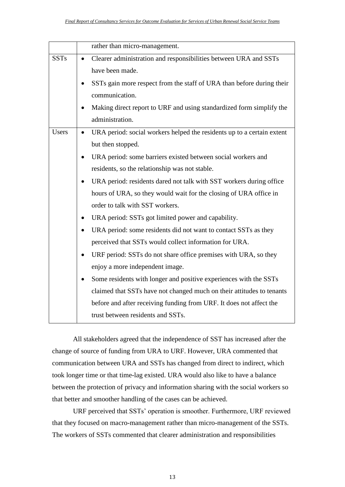|              | rather than micro-management.                                                       |
|--------------|-------------------------------------------------------------------------------------|
| <b>SSTs</b>  | Clearer administration and responsibilities between URA and SSTs                    |
|              | have been made.                                                                     |
|              | SSTs gain more respect from the staff of URA than before during their               |
|              | communication.                                                                      |
|              | Making direct report to URF and using standardized form simplify the                |
|              | administration.                                                                     |
| <b>Users</b> | URA period: social workers helped the residents up to a certain extent<br>$\bullet$ |
|              | but then stopped.                                                                   |
|              | URA period: some barriers existed between social workers and<br>$\bullet$           |
|              | residents, so the relationship was not stable.                                      |
|              | URA period: residents dared not talk with SST workers during office                 |
|              | hours of URA, so they would wait for the closing of URA office in                   |
|              | order to talk with SST workers.                                                     |
|              |                                                                                     |
|              | URA period: SSTs got limited power and capability.<br>٠                             |
|              | URA period: some residents did not want to contact SSTs as they                     |
|              | perceived that SSTs would collect information for URA.                              |
|              | URF period: SSTs do not share office premises with URA, so they<br>$\bullet$        |
|              | enjoy a more independent image.                                                     |
|              | Some residents with longer and positive experiences with the SSTs                   |
|              | claimed that SSTs have not changed much on their attitudes to tenants               |
|              | before and after receiving funding from URF. It does not affect the                 |
|              | trust between residents and SSTs.                                                   |
|              |                                                                                     |

All stakeholders agreed that the independence of SST has increased after the change of source of funding from URA to URF. However, URA commented that communication between URA and SSTs has changed from direct to indirect, which took longer time or that time-lag existed. URA would also like to have a balance between the protection of privacy and information sharing with the social workers so that better and smoother handling of the cases can be achieved.

URF perceived that SSTs' operation is smoother. Furthermore, URF reviewed that they focused on macro-management rather than micro-management of the SSTs. The workers of SSTs commented that clearer administration and responsibilities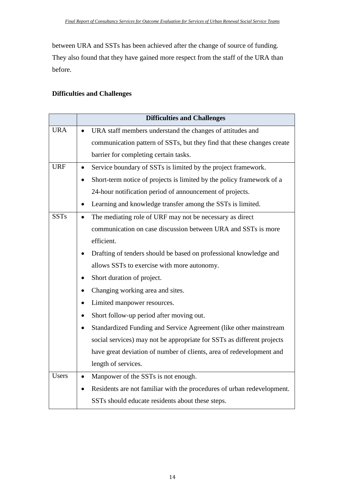between URA and SSTs has been achieved after the change of source of funding. They also found that they have gained more respect from the staff of the URA than before.

#### **Difficulties and Challenges**

|              | <b>Difficulties and Challenges</b>                                                  |
|--------------|-------------------------------------------------------------------------------------|
| <b>URA</b>   | URA staff members understand the changes of attitudes and<br>$\bullet$              |
|              | communication pattern of SSTs, but they find that these changes create              |
|              | barrier for completing certain tasks.                                               |
| <b>URF</b>   | Service boundary of SSTs is limited by the project framework.<br>$\bullet$          |
|              | Short-term notice of projects is limited by the policy framework of a               |
|              | 24-hour notification period of announcement of projects.                            |
|              | Learning and knowledge transfer among the SSTs is limited.<br>$\bullet$             |
| <b>SSTs</b>  | The mediating role of URF may not be necessary as direct<br>$\bullet$               |
|              | communication on case discussion between URA and SSTs is more                       |
|              | efficient.                                                                          |
|              | Drafting of tenders should be based on professional knowledge and                   |
|              | allows SSTs to exercise with more autonomy.                                         |
|              | Short duration of project.                                                          |
|              | Changing working area and sites.<br>$\bullet$                                       |
|              | Limited manpower resources.                                                         |
|              | Short follow-up period after moving out.<br>$\bullet$                               |
|              | Standardized Funding and Service Agreement (like other mainstream                   |
|              | social services) may not be appropriate for SSTs as different projects              |
|              | have great deviation of number of clients, area of redevelopment and                |
|              | length of services.                                                                 |
| <b>Users</b> | Manpower of the SSTs is not enough.<br>$\bullet$                                    |
|              | Residents are not familiar with the procedures of urban redevelopment.<br>$\bullet$ |
|              | SSTs should educate residents about these steps.                                    |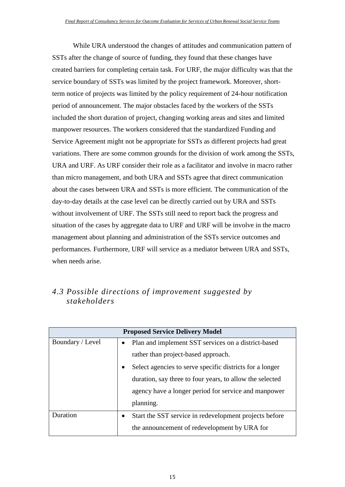While URA understood the changes of attitudes and communication pattern of SSTs after the change of source of funding, they found that these changes have created barriers for completing certain task. For URF, the major difficulty was that the service boundary of SSTs was limited by the project framework. Moreover, shortterm notice of projects was limited by the policy requirement of 24-hour notification period of announcement. The major obstacles faced by the workers of the SSTs included the short duration of project, changing working areas and sites and limited manpower resources. The workers considered that the standardized Funding and Service Agreement might not be appropriate for SSTs as different projects had great variations. There are some common grounds for the division of work among the SSTs, URA and URF. As URF consider their role as a facilitator and involve in macro rather than micro management, and both URA and SSTs agree that direct communication about the cases between URA and SSTs is more efficient. The communication of the day-to-day details at the case level can be directly carried out by URA and SSTs without involvement of URF. The SSTs still need to report back the progress and situation of the cases by aggregate data to URF and URF will be involve in the macro management about planning and administration of the SSTs service outcomes and performances. Furthermore, URF will service as a mediator between URA and SSTs, when needs arise.

### <span id="page-23-0"></span>*4.3 Possible directions of improvement suggested by stakeholders*

| <b>Proposed Service Delivery Model</b> |                                                                       |                                                        |  |  |  |
|----------------------------------------|-----------------------------------------------------------------------|--------------------------------------------------------|--|--|--|
| Boundary / Level                       |                                                                       | • Plan and implement SST services on a district-based  |  |  |  |
|                                        | rather than project-based approach.                                   |                                                        |  |  |  |
|                                        | Select agencies to serve specific districts for a longer<br>$\bullet$ |                                                        |  |  |  |
|                                        | duration, say three to four years, to allow the selected              |                                                        |  |  |  |
|                                        |                                                                       | agency have a longer period for service and manpower   |  |  |  |
|                                        |                                                                       | planning.                                              |  |  |  |
| Duration                               | $\bullet$                                                             | Start the SST service in redevelopment projects before |  |  |  |
|                                        |                                                                       | the announcement of redevelopment by URA for           |  |  |  |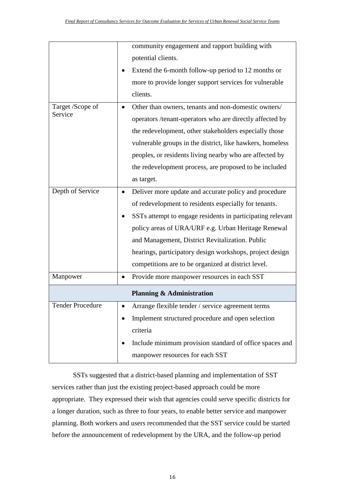|                         |           | community engagement and rapport building with             |
|-------------------------|-----------|------------------------------------------------------------|
|                         |           | potential clients.                                         |
|                         |           | Extend the 6-month follow-up period to 12 months or        |
|                         |           | more to provide longer support services for vulnerable     |
|                         |           | clients.                                                   |
| Target /Scope of        |           | Other than owners, tenants and non-domestic owners/        |
| Service                 |           | operators /tenant-operators who are directly affected by   |
|                         |           | the redevelopment, other stakeholders especially those     |
|                         |           | vulnerable groups in the district, like hawkers, homeless  |
|                         |           | peoples, or residents living nearby who are affected by    |
|                         |           | the redevelopment process, are proposed to be included     |
|                         |           | as target.                                                 |
| Depth of Service        | $\bullet$ | Deliver more update and accurate policy and procedure      |
|                         |           | of redevelopment to residents especially for tenants.      |
|                         |           | SSTs attempt to engage residents in participating relevant |
|                         |           | policy areas of URA/URF e.g. Urban Heritage Renewal        |
|                         |           |                                                            |
|                         |           | and Management, District Revitalization. Public            |
|                         |           | hearings, participatory design workshops, project design   |
|                         |           | competitions are to be organized at district level.        |
| Manpower                | $\bullet$ | Provide more manpower resources in each SST                |
|                         |           | <b>Planning &amp; Administration</b>                       |
| <b>Tender Procedure</b> |           | Arrange flexible tender / service agreement terms          |
|                         | $\bullet$ | Implement structured procedure and open selection          |
|                         |           | criteria                                                   |
|                         |           | Include minimum provision standard of office spaces and    |

SSTs suggested that a district-based planning and implementation of SST services rather than just the existing project-based approach could be more appropriate. They expressed their wish that agencies could serve specific districts for a longer duration, such as three to four years, to enable better service and manpower planning. Both workers and users recommended that the SST service could be started before the announcement of redevelopment by the URA, and the follow-up period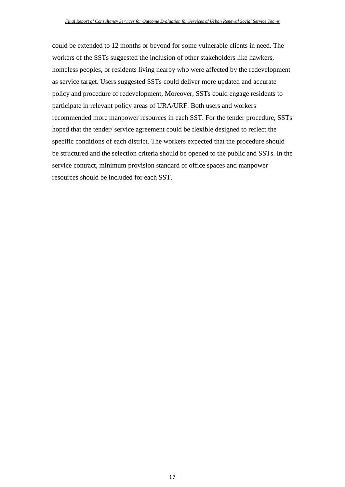could be extended to 12 months or beyond for some vulnerable clients in need. The workers of the SSTs suggested the inclusion of other stakeholders like hawkers, homeless peoples, or residents living nearby who were affected by the redevelopment as service target. Users suggested SSTs could deliver more updated and accurate policy and procedure of redevelopment, Moreover, SSTs could engage residents to participate in relevant policy areas of URA/URF. Both users and workers recommended more manpower resources in each SST. For the tender procedure, SSTs hoped that the tender/ service agreement could be flexible designed to reflect the specific conditions of each district. The workers expected that the procedure should be structured and the selection criteria should be opened to the public and SSTs. In the service contract, minimum provision standard of office spaces and manpower resources should be included for each SST.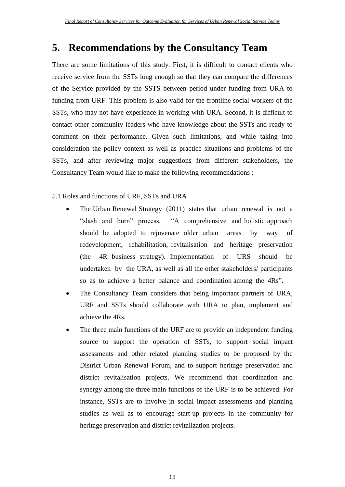### <span id="page-26-0"></span>**5. Recommendations by the Consultancy Team**

There are some limitations of this study. First, it is difficult to contact clients who receive service from the SSTs long enough so that they can compare the differences of the Service provided by the SSTS between period under funding from URA to funding from URF. This problem is also valid for the frontline social workers of the SSTs, who may not have experience in working with URA. Second, it is difficult to contact other community leaders who have knowledge about the SSTs and ready to comment on their performance. Given such limitations, and while taking into consideration the policy context as well as practice situations and problems of the SSTs, and after reviewing major suggestions from different stakeholders, the Consultancy Team would like to make the following recommendations :

5.1 Roles and functions of URF, SSTs and URA

- The Urban Renewal Strategy (2011) states that urban renewal is not a "slash and burn" process. "A comprehensive and holistic approach should be adopted to rejuvenate older urban areas by way of redevelopment, rehabilitation, revitalisation and heritage preservation (the 4R business strategy). Implementation of URS should be undertaken by the URA, as well as all the other stakeholders/ participants so as to achieve a better balance and coordination among the 4Rs".
- The Consultancy Team considers that being important partners of URA, URF and SSTs should collaborate with URA to plan, implement and achieve the 4Rs.
- The three main functions of the URF are to provide an independent funding source to support the operation of SSTs, to support social impact assessments and other related planning studies to be proposed by the District Urban Renewal Forum, and to support heritage preservation and district revitalisation projects. We recommend that coordination and synergy among the three main functions of the URF is to be achieved. For instance, SSTs are to involve in social impact assessments and planning studies as well as to encourage start-up projects in the community for heritage preservation and district revitalization projects.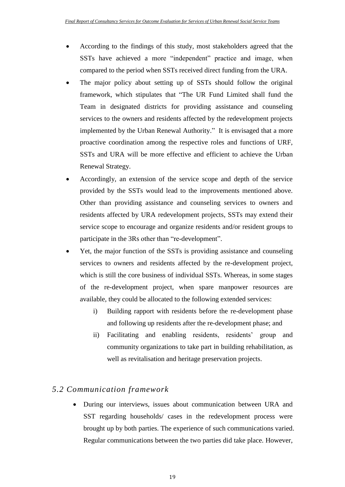- According to the findings of this study, most stakeholders agreed that the SSTs have achieved a more "independent" practice and image, when compared to the period when SSTs received direct funding from the URA.
- The major policy about setting up of SSTs should follow the original framework, which stipulates that "The UR Fund Limited shall fund the Team in designated districts for providing assistance and counseling services to the owners and residents affected by the redevelopment projects implemented by the Urban Renewal Authority." It is envisaged that a more proactive coordination among the respective roles and functions of URF, SSTs and URA will be more effective and efficient to achieve the Urban Renewal Strategy.
- Accordingly, an extension of the service scope and depth of the service provided by the SSTs would lead to the improvements mentioned above. Other than providing assistance and counseling services to owners and residents affected by URA redevelopment projects, SSTs may extend their service scope to encourage and organize residents and/or resident groups to participate in the 3Rs other than "re-development".
- Yet, the major function of the SSTs is providing assistance and counseling services to owners and residents affected by the re-development project, which is still the core business of individual SSTs. Whereas, in some stages of the re-development project, when spare manpower resources are available, they could be allocated to the following extended services:
	- i) Building rapport with residents before the re-development phase and following up residents after the re-development phase; and
	- ii) Facilitating and enabling residents, residents' group and community organizations to take part in building rehabilitation, as well as revitalisation and heritage preservation projects.

#### <span id="page-27-0"></span>*5.2 Communication framework*

 During our interviews, issues about communication between URA and SST regarding households/ cases in the redevelopment process were brought up by both parties. The experience of such communications varied. Regular communications between the two parties did take place. However,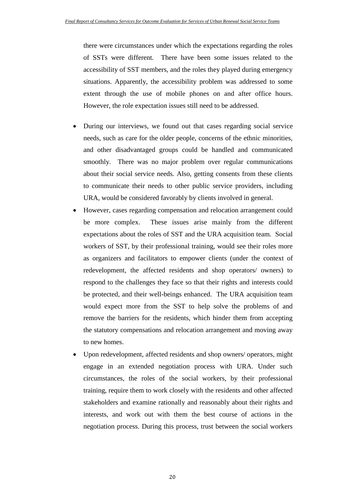there were circumstances under which the expectations regarding the roles of SSTs were different. There have been some issues related to the accessibility of SST members, and the roles they played during emergency situations. Apparently, the accessibility problem was addressed to some extent through the use of mobile phones on and after office hours. However, the role expectation issues still need to be addressed.

- During our interviews, we found out that cases regarding social service needs, such as care for the older people, concerns of the ethnic minorities, and other disadvantaged groups could be handled and communicated smoothly. There was no major problem over regular communications about their social service needs. Also, getting consents from these clients to communicate their needs to other public service providers, including URA, would be considered favorably by clients involved in general.
- However, cases regarding compensation and relocation arrangement could be more complex. These issues arise mainly from the different expectations about the roles of SST and the URA acquisition team. Social workers of SST, by their professional training, would see their roles more as organizers and facilitators to empower clients (under the context of redevelopment, the affected residents and shop operators/ owners) to respond to the challenges they face so that their rights and interests could be protected, and their well-beings enhanced. The URA acquisition team would expect more from the SST to help solve the problems of and remove the barriers for the residents, which hinder them from accepting the statutory compensations and relocation arrangement and moving away to new homes.
- Upon redevelopment, affected residents and shop owners/ operators, might engage in an extended negotiation process with URA. Under such circumstances, the roles of the social workers, by their professional training, require them to work closely with the residents and other affected stakeholders and examine rationally and reasonably about their rights and interests, and work out with them the best course of actions in the negotiation process. During this process, trust between the social workers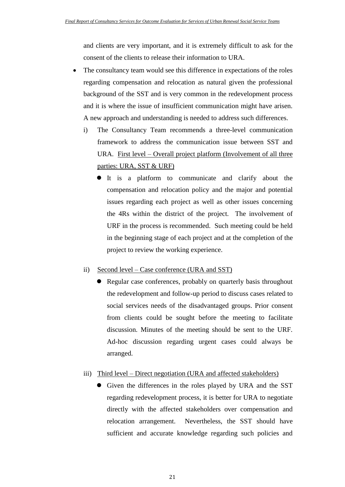and clients are very important, and it is extremely difficult to ask for the consent of the clients to release their information to URA.

- The consultancy team would see this difference in expectations of the roles regarding compensation and relocation as natural given the professional background of the SST and is very common in the redevelopment process and it is where the issue of insufficient communication might have arisen. A new approach and understanding is needed to address such differences.
	- i) The Consultancy Team recommends a three-level communication framework to address the communication issue between SST and URA. First level – Overall project platform (Involvement of all three parties: URA, SST & URF)
		- It is a platform to communicate and clarify about the compensation and relocation policy and the major and potential issues regarding each project as well as other issues concerning the 4Rs within the district of the project. The involvement of URF in the process is recommended. Such meeting could be held in the beginning stage of each project and at the completion of the project to review the working experience.

#### ii) Second level – Case conference (URA and SST)

 Regular case conferences, probably on quarterly basis throughout the redevelopment and follow-up period to discuss cases related to social services needs of the disadvantaged groups. Prior consent from clients could be sought before the meeting to facilitate discussion. Minutes of the meeting should be sent to the URF. Ad-hoc discussion regarding urgent cases could always be arranged.

#### iii) Third level – Direct negotiation (URA and affected stakeholders)

• Given the differences in the roles played by URA and the SST regarding redevelopment process, it is better for URA to negotiate directly with the affected stakeholders over compensation and relocation arrangement. Nevertheless, the SST should have sufficient and accurate knowledge regarding such policies and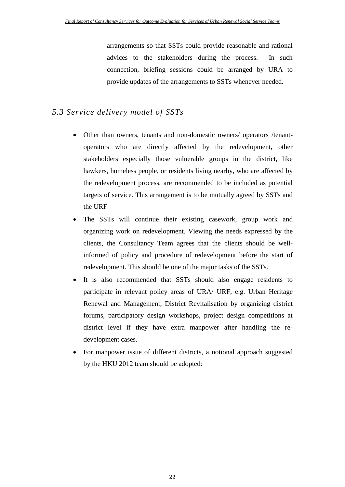arrangements so that SSTs could provide reasonable and rational advices to the stakeholders during the process. In such connection, briefing sessions could be arranged by URA to provide updates of the arrangements to SSTs whenever needed.

#### <span id="page-30-0"></span>*5.3 Service delivery model of SSTs*

- Other than owners, tenants and non-domestic owners/ operators /tenantoperators who are directly affected by the redevelopment, other stakeholders especially those vulnerable groups in the district, like hawkers, homeless people, or residents living nearby, who are affected by the redevelopment process, are recommended to be included as potential targets of service. This arrangement is to be mutually agreed by SSTs and the URF
- The SSTs will continue their existing casework, group work and organizing work on redevelopment. Viewing the needs expressed by the clients, the Consultancy Team agrees that the clients should be wellinformed of policy and procedure of redevelopment before the start of redevelopment. This should be one of the major tasks of the SSTs.
- It is also recommended that SSTs should also engage residents to participate in relevant policy areas of URA/ URF, e.g. Urban Heritage Renewal and Management, District Revitalisation by organizing district forums, participatory design workshops, project design competitions at district level if they have extra manpower after handling the redevelopment cases.
- For manpower issue of different districts, a notional approach suggested by the HKU 2012 team should be adopted: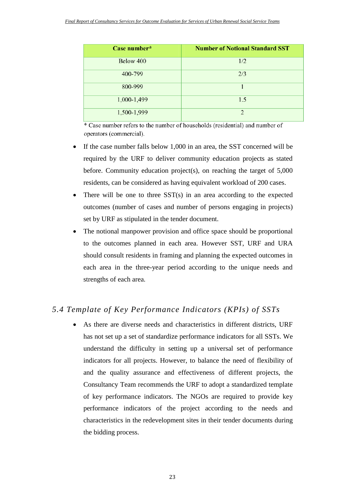| Case number* | <b>Number of Notional Standard SST</b> |
|--------------|----------------------------------------|
| Below 400    | 1/2                                    |
| 400-799      | 2/3                                    |
| 800-999      |                                        |
| 1,000-1,499  | 1.5                                    |
| 1,500-1,999  | $\mathcal{D}$                          |

\* Case number refers to the number of households (residential) and number of operators (commercial).

- If the case number falls below 1,000 in an area, the SST concerned will be required by the URF to deliver community education projects as stated before. Community education project(s), on reaching the target of 5,000 residents, can be considered as having equivalent workload of 200 cases.
- There will be one to three SST(s) in an area according to the expected outcomes (number of cases and number of persons engaging in projects) set by URF as stipulated in the tender document.
- The notional manpower provision and office space should be proportional to the outcomes planned in each area. However SST, URF and URA should consult residents in framing and planning the expected outcomes in each area in the three-year period according to the unique needs and strengths of each area.

#### <span id="page-31-0"></span>*5.4 Template of Key Performance Indicators (KPIs) of SSTs*

 As there are diverse needs and characteristics in different districts, URF has not set up a set of standardize performance indicators for all SSTs. We understand the difficulty in setting up a universal set of performance indicators for all projects. However, to balance the need of flexibility of and the quality assurance and effectiveness of different projects, the Consultancy Team recommends the URF to adopt a standardized template of key performance indicators. The NGOs are required to provide key performance indicators of the project according to the needs and characteristics in the redevelopment sites in their tender documents during the bidding process.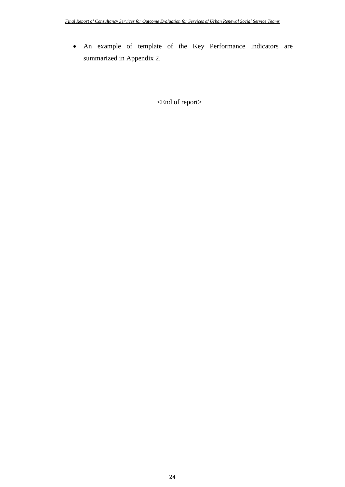An example of template of the Key Performance Indicators are summarized in Appendix 2.

<End of report>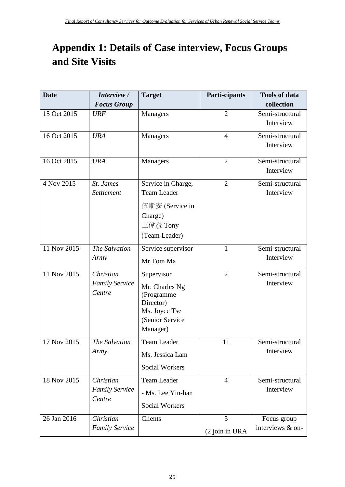# <span id="page-33-0"></span>**Appendix 1: Details of Case interview, Focus Groups and Site Visits**

| <b>Date</b> | Interview /                                  | <b>Target</b>                                                                                           | Parti-cipants       | <b>Tools of data</b>            |
|-------------|----------------------------------------------|---------------------------------------------------------------------------------------------------------|---------------------|---------------------------------|
|             | <b>Focus Group</b>                           |                                                                                                         |                     | collection                      |
| 15 Oct 2015 | <b>URF</b>                                   | Managers                                                                                                | $\overline{2}$      | Semi-structural<br>Interview    |
| 16 Oct 2015 | <b>URA</b>                                   | Managers                                                                                                | $\overline{4}$      | Semi-structural<br>Interview    |
| 16 Oct 2015 | <b>URA</b>                                   | Managers                                                                                                | $\overline{2}$      | Semi-structural<br>Interview    |
| 4 Nov 2015  | St. James<br>Settlement                      | Service in Charge,<br><b>Team Leader</b><br>伍斯安 (Service in<br>Charge)<br>王偉彥 Tony<br>(Team Leader)     | $\overline{2}$      | Semi-structural<br>Interview    |
| 11 Nov 2015 | The Salvation<br>Army                        | Service supervisor<br>Mr Tom Ma                                                                         | $\mathbf{1}$        | Semi-structural<br>Interview    |
| 11 Nov 2015 | Christian<br><b>Family Service</b><br>Centre | Supervisor<br>Mr. Charles Ng<br>(Programme<br>Director)<br>Ms. Joyce Tse<br>(Senior Service<br>Manager) | $\overline{2}$      | Semi-structural<br>Interview    |
| 17 Nov 2015 | The Salvation<br>Army                        | <b>Team Leader</b><br>Ms. Jessica Lam<br><b>Social Workers</b>                                          | 11                  | Semi-structural<br>Interview    |
| 18 Nov 2015 | Christian<br><b>Family Service</b><br>Centre | <b>Team Leader</b><br>- Ms. Lee Yin-han<br><b>Social Workers</b>                                        | $\overline{4}$      | Semi-structural<br>Interview    |
| 26 Jan 2016 | Christian<br><b>Family Service</b>           | Clients                                                                                                 | 5<br>(2 join in URA | Focus group<br>interviews & on- |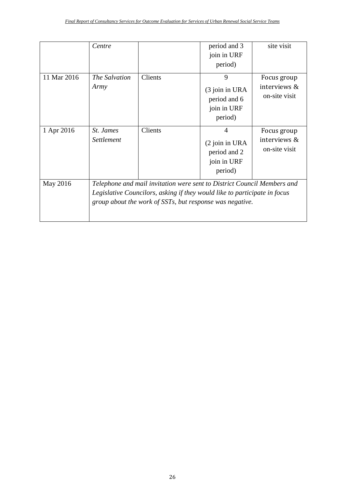|             | Centre                                                                                                                                                                                                           |         | period and 3<br>join in URF<br>period)                           | site visit                                      |
|-------------|------------------------------------------------------------------------------------------------------------------------------------------------------------------------------------------------------------------|---------|------------------------------------------------------------------|-------------------------------------------------|
| 11 Mar 2016 | The Salvation<br>Army                                                                                                                                                                                            | Clients | 9<br>(3 join in URA<br>period and 6<br>join in URF<br>period)    | Focus group<br>interviews $\&$<br>on-site visit |
| 1 Apr 2016  | St. James<br>Settlement                                                                                                                                                                                          | Clients | 4<br>$(2)$ join in URA<br>period and 2<br>join in URF<br>period) | Focus group<br>interviews $\&$<br>on-site visit |
| May 2016    | Telephone and mail invitation were sent to District Council Members and<br>Legislative Councilors, asking if they would like to participate in focus<br>group about the work of SSTs, but response was negative. |         |                                                                  |                                                 |